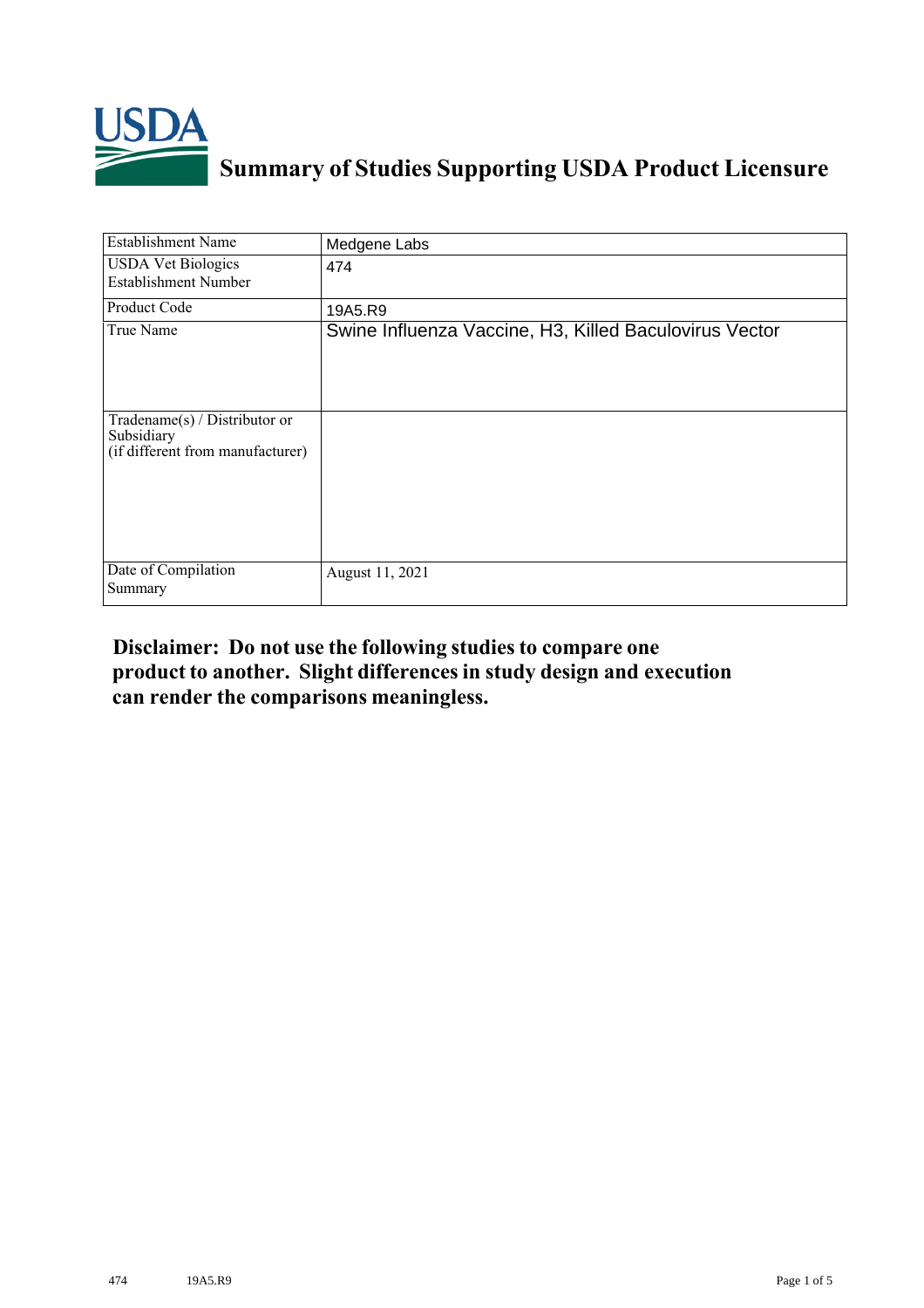

## **Summary of Studies Supporting USDA Product Licensure**

| <b>Establishment Name</b>                                                       | Medgene Labs                                           |
|---------------------------------------------------------------------------------|--------------------------------------------------------|
| <b>USDA Vet Biologics</b><br><b>Establishment Number</b>                        | 474                                                    |
| Product Code                                                                    | 19A5.R9                                                |
| True Name                                                                       | Swine Influenza Vaccine, H3, Killed Baculovirus Vector |
| Tradename(s) / Distributor or<br>Subsidiary<br>(if different from manufacturer) |                                                        |
| Date of Compilation<br>Summary                                                  | August 11, 2021                                        |

## **Disclaimer: Do not use the following studiesto compare one product to another. Slight differencesin study design and execution can render the comparisons meaningless.**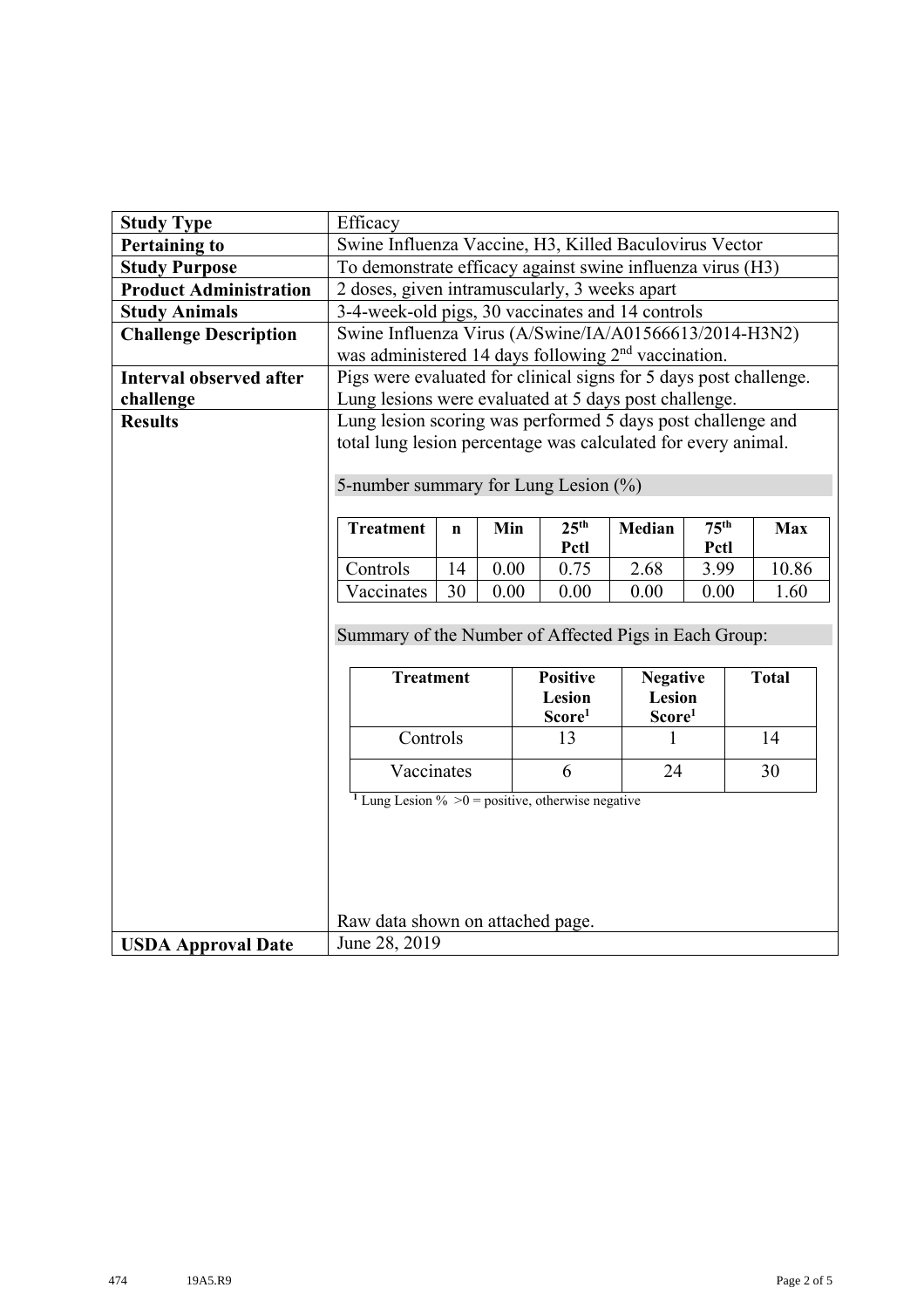| <b>Study Type</b>             | Efficacy                                                                                                                     |             |      |                          |                                                 |                          |              |  |
|-------------------------------|------------------------------------------------------------------------------------------------------------------------------|-------------|------|--------------------------|-------------------------------------------------|--------------------------|--------------|--|
| <b>Pertaining to</b>          | Swine Influenza Vaccine, H3, Killed Baculovirus Vector                                                                       |             |      |                          |                                                 |                          |              |  |
| <b>Study Purpose</b>          | To demonstrate efficacy against swine influenza virus (H3)                                                                   |             |      |                          |                                                 |                          |              |  |
| <b>Product Administration</b> | 2 doses, given intramuscularly, 3 weeks apart                                                                                |             |      |                          |                                                 |                          |              |  |
| <b>Study Animals</b>          | 3-4-week-old pigs, 30 vaccinates and 14 controls                                                                             |             |      |                          |                                                 |                          |              |  |
| <b>Challenge Description</b>  | Swine Influenza Virus (A/Swine/IA/A01566613/2014-H3N2)<br>was administered 14 days following 2 <sup>nd</sup> vaccination.    |             |      |                          |                                                 |                          |              |  |
| Interval observed after       | Pigs were evaluated for clinical signs for 5 days post challenge.                                                            |             |      |                          |                                                 |                          |              |  |
| challenge                     | Lung lesions were evaluated at 5 days post challenge.                                                                        |             |      |                          |                                                 |                          |              |  |
| <b>Results</b>                | Lung lesion scoring was performed 5 days post challenge and<br>total lung lesion percentage was calculated for every animal. |             |      |                          |                                                 |                          |              |  |
|                               | 5-number summary for Lung Lesion (%)                                                                                         |             |      |                          |                                                 |                          |              |  |
|                               | <b>Treatment</b>                                                                                                             | $\mathbf n$ | Min  | 25 <sup>th</sup><br>Pctl | Median                                          | 75 <sup>th</sup><br>Pctl | <b>Max</b>   |  |
|                               | Controls                                                                                                                     | 14          | 0.00 | 0.75                     | 2.68                                            | 3.99                     | 10.86        |  |
|                               | Vaccinates                                                                                                                   | 30          | 0.00 | 0.00                     | 0.00                                            | 0.00                     | 1.60         |  |
|                               | Summary of the Number of Affected Pigs in Each Group:                                                                        |             |      |                          |                                                 |                          |              |  |
|                               | <b>Treatment</b><br><b>Positive</b><br>Lesion<br>Score <sup>1</sup>                                                          |             |      |                          | <b>Negative</b><br>Lesion<br>Score <sup>1</sup> |                          | <b>Total</b> |  |
|                               | Controls                                                                                                                     |             |      | 13                       |                                                 |                          | 14           |  |
|                               | Vaccinates                                                                                                                   |             |      | 6                        | 24                                              |                          | 30           |  |
|                               | <sup>1</sup> Lung Lesion % > 0 = positive, otherwise negative                                                                |             |      |                          |                                                 |                          |              |  |
|                               |                                                                                                                              |             |      |                          |                                                 |                          |              |  |
|                               |                                                                                                                              |             |      |                          |                                                 |                          |              |  |
|                               |                                                                                                                              |             |      |                          |                                                 |                          |              |  |
|                               | Raw data shown on attached page.                                                                                             |             |      |                          |                                                 |                          |              |  |
| <b>USDA Approval Date</b>     | June 28, 2019                                                                                                                |             |      |                          |                                                 |                          |              |  |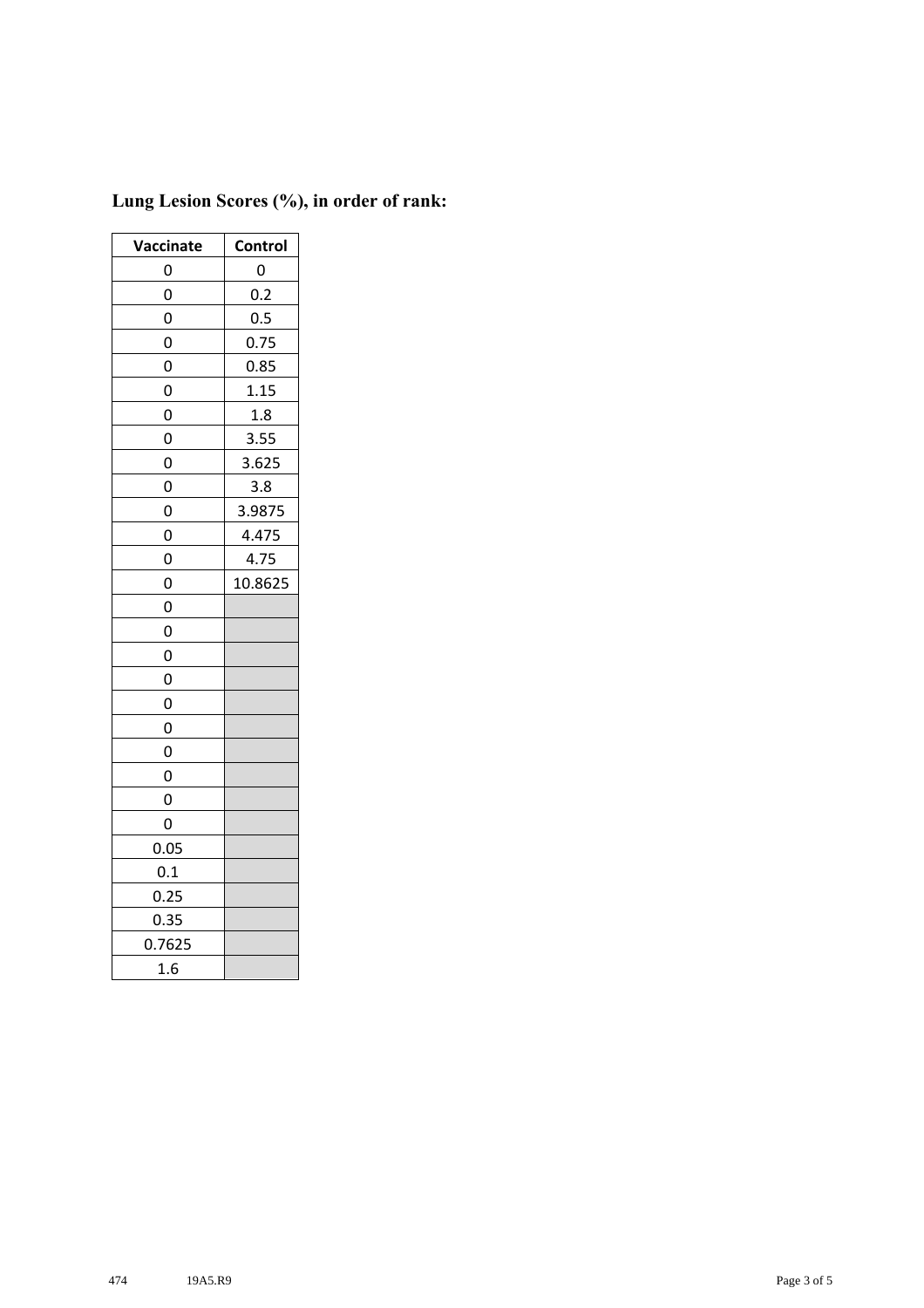| Vaccinate      | Control |  |  |  |
|----------------|---------|--|--|--|
| 0              | 0       |  |  |  |
| 0              | 0.2     |  |  |  |
| 0              | 0.5     |  |  |  |
| 0              | 0.75    |  |  |  |
| 0              | 0.85    |  |  |  |
| 0              | 1.15    |  |  |  |
| 0              | 1.8     |  |  |  |
| $\overline{0}$ | 3.55    |  |  |  |
| 0              | 3.625   |  |  |  |
| 0              | 3.8     |  |  |  |
| 0              | 3.9875  |  |  |  |
| 0              | 4.475   |  |  |  |
| 0              | 4.75    |  |  |  |
| 0              | 10.8625 |  |  |  |
| 0              |         |  |  |  |
| 0              |         |  |  |  |
| 0              |         |  |  |  |
| 0              |         |  |  |  |
| 0              |         |  |  |  |
| 0              |         |  |  |  |
| 0              |         |  |  |  |
| 0              |         |  |  |  |
| 0              |         |  |  |  |
| 0              |         |  |  |  |
| 0.05           |         |  |  |  |
| 0.1            |         |  |  |  |
| 0.25           |         |  |  |  |
| 0.35           |         |  |  |  |
| 0.7625         |         |  |  |  |
| 1.6            |         |  |  |  |

## **Lung Lesion Scores (%), in order of rank:**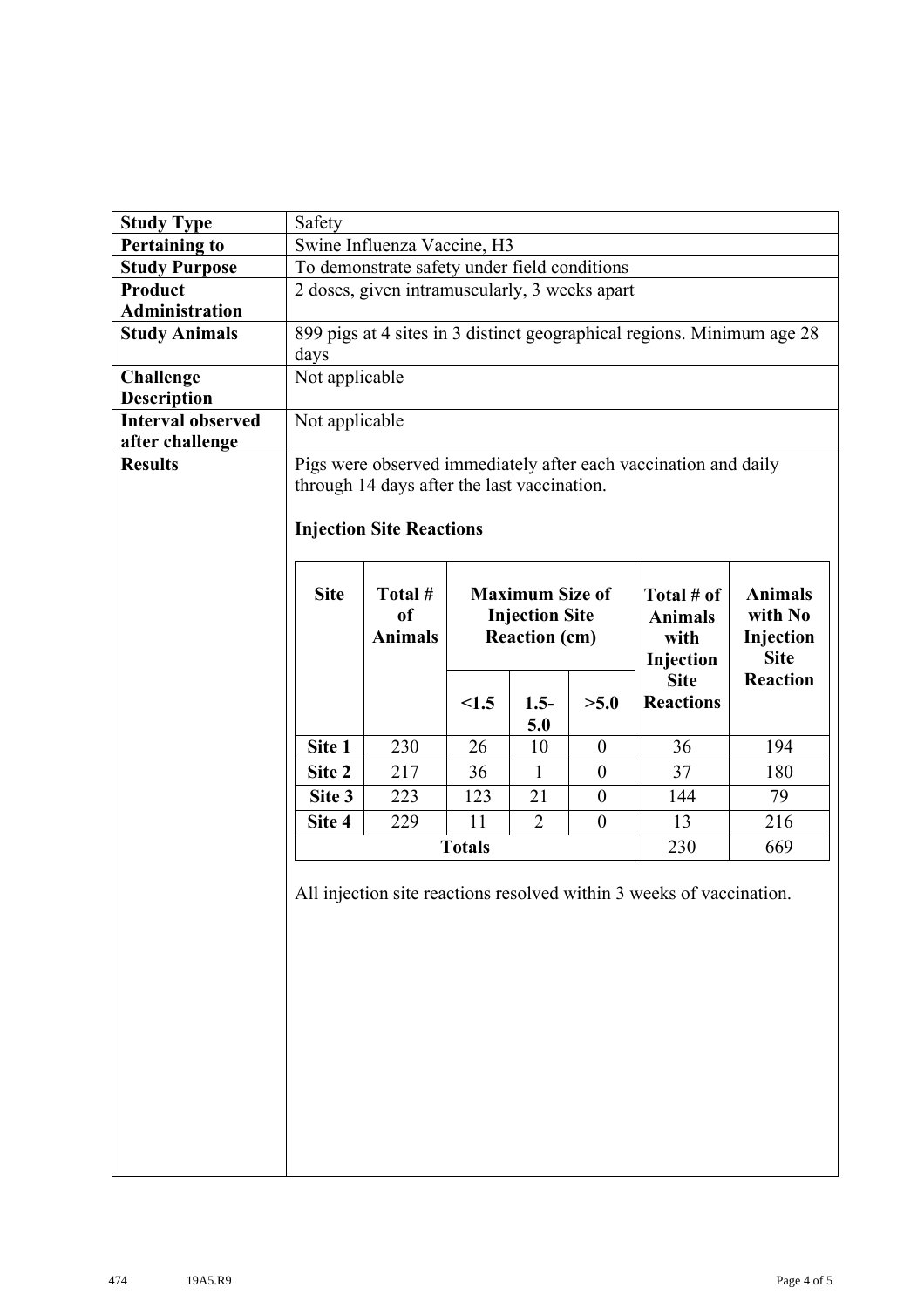| <b>Study Type</b>        | Safety                                                                           |                                             |               |                       |                  |                                                                      |             |  |  |  |  |
|--------------------------|----------------------------------------------------------------------------------|---------------------------------------------|---------------|-----------------------|------------------|----------------------------------------------------------------------|-------------|--|--|--|--|
| <b>Pertaining to</b>     | Swine Influenza Vaccine, H3                                                      |                                             |               |                       |                  |                                                                      |             |  |  |  |  |
| <b>Study Purpose</b>     | To demonstrate safety under field conditions                                     |                                             |               |                       |                  |                                                                      |             |  |  |  |  |
| Product                  | 2 doses, given intramuscularly, 3 weeks apart                                    |                                             |               |                       |                  |                                                                      |             |  |  |  |  |
| <b>Administration</b>    |                                                                                  |                                             |               |                       |                  |                                                                      |             |  |  |  |  |
| <b>Study Animals</b>     | 899 pigs at 4 sites in 3 distinct geographical regions. Minimum age 28           |                                             |               |                       |                  |                                                                      |             |  |  |  |  |
|                          | days                                                                             |                                             |               |                       |                  |                                                                      |             |  |  |  |  |
| <b>Challenge</b>         |                                                                                  | Not applicable                              |               |                       |                  |                                                                      |             |  |  |  |  |
| <b>Description</b>       |                                                                                  |                                             |               |                       |                  |                                                                      |             |  |  |  |  |
| <b>Interval observed</b> | Not applicable                                                                   |                                             |               |                       |                  |                                                                      |             |  |  |  |  |
| after challenge          |                                                                                  |                                             |               |                       |                  |                                                                      |             |  |  |  |  |
| <b>Results</b>           |                                                                                  |                                             |               |                       |                  | Pigs were observed immediately after each vaccination and daily      |             |  |  |  |  |
|                          |                                                                                  | through 14 days after the last vaccination. |               |                       |                  |                                                                      |             |  |  |  |  |
|                          |                                                                                  |                                             |               |                       |                  |                                                                      |             |  |  |  |  |
|                          |                                                                                  | <b>Injection Site Reactions</b>             |               |                       |                  |                                                                      |             |  |  |  |  |
|                          |                                                                                  |                                             |               |                       |                  |                                                                      |             |  |  |  |  |
|                          | <b>Site</b><br>Total #<br><b>Maximum Size of</b><br><b>Animals</b><br>Total # of |                                             |               |                       |                  |                                                                      |             |  |  |  |  |
|                          |                                                                                  | <sub>of</sub>                               |               | <b>Injection Site</b> |                  | <b>Animals</b>                                                       | with No     |  |  |  |  |
|                          |                                                                                  | <b>Animals</b>                              |               | <b>Reaction (cm)</b>  |                  | with                                                                 | Injection   |  |  |  |  |
|                          |                                                                                  |                                             |               |                       |                  | Injection                                                            | <b>Site</b> |  |  |  |  |
|                          | <b>Reaction</b><br><b>Site</b>                                                   |                                             |               |                       |                  |                                                                      |             |  |  |  |  |
|                          |                                                                                  |                                             |               |                       |                  |                                                                      |             |  |  |  |  |
|                          |                                                                                  |                                             | < 1.5         | $1.5-$                | >5.0             | <b>Reactions</b>                                                     |             |  |  |  |  |
|                          |                                                                                  |                                             |               | 5.0                   |                  |                                                                      |             |  |  |  |  |
|                          | Site 1                                                                           | 230                                         | 26            | 10                    | $\boldsymbol{0}$ | 36                                                                   | 194         |  |  |  |  |
|                          | Site 2                                                                           | 217                                         | 36            | $\mathbf{1}$          | $\boldsymbol{0}$ | 37                                                                   | 180         |  |  |  |  |
|                          | Site 3                                                                           | 223                                         | 123           | 21                    | $\boldsymbol{0}$ | 144                                                                  | 79          |  |  |  |  |
|                          | Site 4                                                                           | 229                                         | 11            | $\overline{2}$        | $\boldsymbol{0}$ | 13                                                                   | 216         |  |  |  |  |
|                          |                                                                                  |                                             | <b>Totals</b> |                       |                  | 230                                                                  | 669         |  |  |  |  |
|                          |                                                                                  |                                             |               |                       |                  |                                                                      |             |  |  |  |  |
|                          |                                                                                  |                                             |               |                       |                  | All injection site reactions resolved within 3 weeks of vaccination. |             |  |  |  |  |
|                          |                                                                                  |                                             |               |                       |                  |                                                                      |             |  |  |  |  |
|                          |                                                                                  |                                             |               |                       |                  |                                                                      |             |  |  |  |  |
|                          |                                                                                  |                                             |               |                       |                  |                                                                      |             |  |  |  |  |
|                          |                                                                                  |                                             |               |                       |                  |                                                                      |             |  |  |  |  |
|                          |                                                                                  |                                             |               |                       |                  |                                                                      |             |  |  |  |  |
|                          |                                                                                  |                                             |               |                       |                  |                                                                      |             |  |  |  |  |
|                          |                                                                                  |                                             |               |                       |                  |                                                                      |             |  |  |  |  |
|                          |                                                                                  |                                             |               |                       |                  |                                                                      |             |  |  |  |  |
|                          |                                                                                  |                                             |               |                       |                  |                                                                      |             |  |  |  |  |
|                          |                                                                                  |                                             |               |                       |                  |                                                                      |             |  |  |  |  |